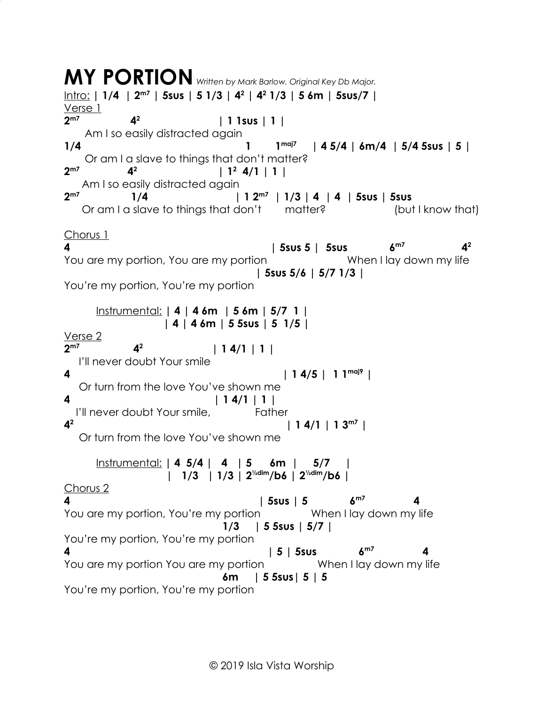**MY PORTION** *Written by Mark Barlow. Original Key Db Major.* Intro: **| 1/4 | 2m7 | 5sus | 5 1/3 | 4<sup>2</sup> | 4<sup>2</sup> 1/3 | 5 6m | 5sus/7 |** Verse 1 **2m7 4<sup>2</sup> | 1 1sus | 1 |** Am I so easily distracted again **1/4 1 1 1 1 1 1 | 4 5/4 | 6m/4 | 5/4 5sus | 5 |** Or am I a slave to things that don't matter? **2m7 4<sup>2</sup> 1**  $\frac{1}{2}$  **4/1** | 1 Am I so easily distracted again **2m7 1/4 | 1 2m7 | 1/3 | 4 | 4 | 5sus | 5sus** Or am I a slave to things that don't matter? (but I know that) Chorus 1 **4 | 5sus 5 | 5sus 6m7 4<sup>2</sup>** You are my portion, You are my portion The Music When I lay down my life  **| 5sus 5/6 | 5/7 1/3 |** You're my portion, You're my portion Instrumental: **| 4 | 4 6m | 5 6m | 5/7 1 | | 4 | 4 6m | 5 5sus | 5 1/5 |** Verse 2 **2m7 4<sup>2</sup> | 1 4/1 | 1 |** I'll never doubt Your smile **4 | 1 4/5 | 1 1maj9 |** Or turn from the love You've shown me **4 | 1 4/1 | 1 |** I'll never doubt Your smile, Father **4 2**  $| 14/1 | 13^{m7} |$  Or turn from the love You've shown me Instrumental: **| 4 5/4 | 4 | 5 6m | 5/7 | | 1/3 | 1/3 | 2½dim/b6 | 2½dim/b6 |** Chorus 2 **4 | 5sus | 5 6m7 4** You are my portion, You're my portion When I lay down my life  **1/3 | 5 5sus | 5/7 |** You're my portion, You're my portion **4 | 5 | 5sus 6m7 4** You are my portion You are my portion When I lay down my life  **6m | 5 5sus| 5 | 5** You're my portion, You're my portion